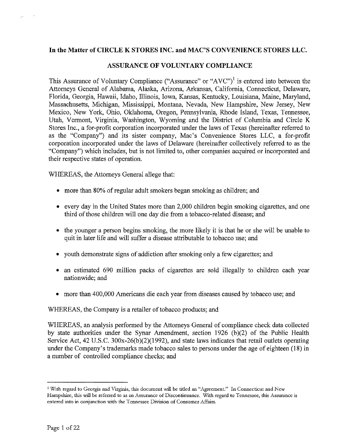## In the Matter of CIRCLE K STORES INC. and MAC'S CONVENIENCE STORES LLC.

#### ASSURANCE OF VOLUNTARY COMPLIANCE

This Assurance of Voluntary Compliance ("Assurance" or "AVC")<sup>1</sup> is entered into between the Attorneys General of Alabama, Alaska, Arizona, Arkansas, California, Connecticut, Delaware, Florida, Georgia, Hawaii, Idaho, Illinois, Iowa, Kansas, Kentucky, Louisiana, Maine, Maryland, Massachusetts, Michigan, Mississippi, Montana, Nevada, New Hampshire, New Jersey, New Mexico, New York, Ohio, Oklahoma, Oregon, Pennsylvania, Rhode Island, Texas, Tennessee, Utah, Vermont, Virginia, Washington, Wyoming and the District of Columbia and Circle K Stores Inc., a for-profit corporation incorporated under the laws of Texas (hereinafter referred to as the "Company") and its sister company, Mac's Convenience Stores LLC, a for-profit corporation incorporated under the laws of Delaware (hereinafter collectively referred to as the "Company") which includes, but is not limited to, other companies acquired or incorporated and their respective states of operation.

WHEREAS, the Attorneys General allege that:

- more than 80% of regular adult smokers began smoking as children; and
- every day in the United States more than 2,000 children begin smoking cigarettes, and one third of those children will one day die from a tobacco-related disease; and
- the younger a person begins smoking, the more likely it is that he or she will be unable to quit in later life and will suffer a disease attributable to tobacco use; and
- youth demonstrate signs of addiction after smoking only a few cigarettes; and
- an estimated 690 million packs of cigarettes are sold illegally to children each year nationwide; and
- more than 400,000 Americans die each year from diseases caused by tobacco use; and

WHEREAS, the Company is a retailer of tobacco products; and

WHEREAS, an analysis performed by the Attorneys General of compliance check data collected by state authorities under the Synar Amendment, section 1926 (b)(2) of the Public Health Service Act, 42 U.S.C. 300x-26(b)(2)(1992), and state laws indicates that retail outlets operating under the Company's trademarks made tobacco sales to persons under the age of eighteen (18) in a number of controlled compliance checks; and

<sup>&</sup>lt;sup>1</sup> With regard to Georgia and Virginia, this document will be titled an "Agreement." In Connecticut and New Hampshire, this will be referred to as an Assurance of Discontinuance. With regard to Tennessee, this Assurance is entered into in conjunction with the Tennessee Division of Consumer Affairs.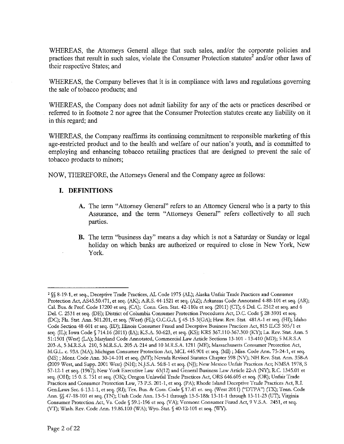WHEREAS, the Attorneys General allege that such sales, and/or the corporate policies and practices that result in such sales, violate the Consumer Protection statutes<sup>2</sup> and/or other laws of their respective States; and

WHEREAS, the Company believes that it is in compliance with laws and regulations governing the sale of tobacco products; and

WHEREAS, the Company does not admit liability for any of the acts or practices described or referred to in footnote 2 nor agree that the Consumer Protection statutes create any liability on it in this regard; and

WHEREAS, the Company reaffirms its continuing commitment to responsible marketing of this age-restricted product and to the health and welfare of our nation's youth, and is committed to employing and enhancing tobacco retailing practices that are designed to prevent the sale of tobacco products to minors;

NOW, THEREFORE, the Attorneys General and the Company agree as follows:

## **I. DEFINITIONS**

- **A.** The term "Attorney General" refers to an Attorney General who is a party to this Assurance, and the term "Attorneys General" refers collectively to all such parties.
- B. The term "business day" means a day which is not a Saturday or Sunday or legal holiday on which banks are authorized or required to close in New York, New York.

<sup>2</sup> §§ 8-19-1, et seq., Deceptive Trade Practices, AL Code 1975 (AL); Alaska Unfair Trade Practices and Consumer Protection Act, AS45.50.471, et seq. (AK); A.R.S. 44-1521 et seq. (AZ); Arkansas Code Annotated 4-88-101 et seq. (AR); Cal. Bus. & Prof. Code 17200 et seq. (CA); Conn. Gen. Stat. 42-110a et seq. (2011) (CT); 6 Del. C. 2512 et seq. and 6 Del. C. 2531 et seq. (DE); District of Columbia Consumer Protection Procedures Act, D.C. Code § 28-3901 et seq. (DC); Fla. Stat. Ann. 501.201, et seq. (West) (FL); O.C.G.A. § 45-15-3(GA); Haw. Rev. Stat. 481A-1 et seq. (HI); Idaho Code Section 48-601 et seq. (ID); Illinois Consumer Fraud and Deceptive Business Practices Act, 815 ILCS 505/1 et seq. (IL); Iowa Code § 714.16 (2011) (IA); K.S.A. 50-623, et seq. (KS); KRS 367.110-367.300 (KY); La. Rev. Stat. Ann. 5 51:1501 (West) (LA); Maryland Code Annotated, Commercial Law Article Sections 13-101 - 13-410 (MD); 5 M.R.S.A 203-A, 5 M.R.S.A 210, 5 M.R.S.A. 205-A-214 and 10 M.R.S.A. 1211 (ME); Massachusetts Consumer Protection Act, M.G.L. c. 93A (MA); Michigan Consumer Protection Act, MCL 445.901 et seq. (MI); Miss. Code Ann. 75-244, et seq. (MS) ; Mont. Code Ann. 30-14-101 et seq. (MT); Nevada Revised Statutes Chapter 598 (NV); NH Rev. Stat. Ann. 358-A (2009 West, and Supp. 2001 West) (NH); N.J.S.A. 56:8-1 et seq. (NJ); New Mexico Unfair Practices Act; NMSA 1978, S 57-124 et seq. (1967); New York Executive Law 63(12) and General Business Law Article 22-A (NY); R.C. 1345.01 et seq. (OH); 15 0. S. 751 et seq. (OK); Oregon Unlawful Trade Practices Act, ORS 646.605 et seq. (OR); Unfair Trade Practices and Consumer Protection Law, 73 P.S. 201-1, et seq. (PA); Rhode Island Deceptive Trade Practices Act, R.I. Gen.Laws Sec. 6-13.1-1, et seq. (RI); Tex. Bus. & Com. Code § 17.41 et. seq. (West 2011) ("DTPA") (TX); Tenn. Code Ann. §§ 47-18-101 et seq. (TN); Utah Code Ann. 13-5-1 through 13-5-18& 13-11-1 through 13-11-23 (UT); Virginia Consumer Protection Act, Va. Code § 59.1-196 et seq. (VA); Vermont Consumer Fraud Act, 9 V.S.A. 2451, et seq. (VT); Wash. Rev. Code Ann. 19.86.100 (WA); Wyo. Stat. § 40-12-101 et seq. (WY).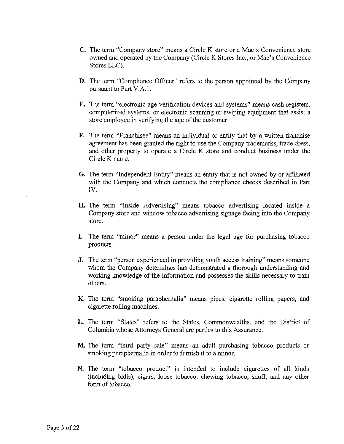- C. The term "Company store" means a Circle K store or a Mac's Convenience store owned and operated by the Company (Circle K Stores Inc., or Mac's Convenience Stores LLC).
- D. The term "Compliance Officer" refers to the person appointed by the Company pursuant to Part V.A.1.
- E. The term "electronic age verification devices and systems" means cash registers, computerized systems, or electronic scanning or swiping equipment that assist a store employee in verifying the age of the customer.
- F. The term "Franchisee" means an individual or entity that by a written franchise agreement has been granted the right to use the Company trademarks, trade dress, and other property to operate a Circle K store and conduct business under the Circle K name.
- G. The term "Independent Entity" means an entity that is not owned by or affiliated with the Company and which conducts the compliance checks described in Part IV.
- H. The term "Inside Advertising" means tobacco advertising located inside a Company store and window tobacco advertising signage facing into the Company store.
- I. The term "minor" means a person under the legal age for purchasing tobacco products.
- J. The term "person experienced in providing youth access training" means someone whom the Company determines has demonstrated a thorough understanding and working knowledge of the information and possesses the skills necessary to train others.
- K. The term "smoking paraphernalia" means pipes, cigarette rolling papers, and cigarette rolling machines.
- L. The term "States" refers to the States, Commonwealths, and the District of Columbia whose Attorneys General are parties to this Assurance.
- M. The term "third party sale" means an adult purchasing tobacco products or smoking paraphernalia in order to furnish it to a minor.
- N. The term "tobacco product" is intended to include cigarettes of all kinds (including bidis), cigars, loose tobacco, chewing tobacco, snuff, and any other form of tobacco.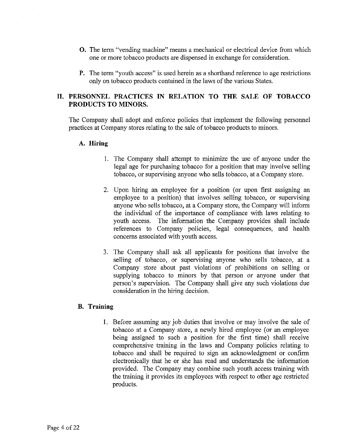- O. The term "vending machine" means a mechanical or electrical device from which one or more tobacco products are dispensed in exchange for consideration.
- **P.** The term "youth access" is used herein as a shorthand reference to age restrictions only on tobacco products contained in the laws of the various States.

# **II. PERSONNEL PRACTICES IN RELATION TO THE SALE OF TOBACCO PRODUCTS TO MINORS.**

The Company shall adopt and enforce policies that implement the following personnel practices at Company stores relating to the sale of tobacco products to minors.

### **A. Hiring**

- 1. The Company shall attempt to minimize the use of anyone under the legal age for purchasing tobacco for a position that may involve selling tobacco, or supervising anyone who sells tobacco, at a Company store.
- 2. Upon hiring an employee for a position (or upon first assigning an employee to a position) that involves selling tobacco, or supervising anyone who sells tobacco, at a Company store, the Company will inform the individual of the importance of compliance with laws relating to youth access. The information the Company provides shall include references to Company policies, legal consequences, and health concerns associated with youth access.
- 3. The Company shall ask all applicants for positions that involve the selling of tobacco, or supervising anyone who sells tobacco, at a Company store about past violations of prohibitions on selling or supplying tobacco to minors by that person or anyone under that person's supervision. The Company shall give any such violations due consideration in the hiring decision.

# **B. Training**

1. Before assuming any job duties that involve or may involve the sale of tobacco at a Company store, a newly hired employee (or an employee being assigned to such a position for the first time) shall receive comprehensive training in the laws and Company policies relating to tobacco and shall be required to sign an acknowledgment or confirm electronically that he or she has read and understands the information provided. The Company may combine such youth access training with the training it provides its employees with respect to other age restricted products.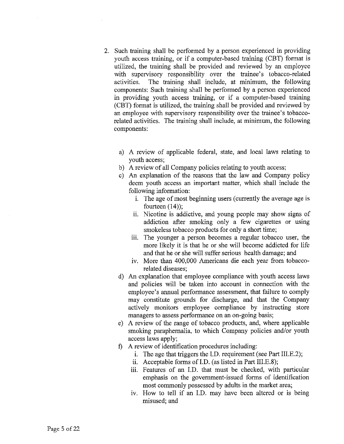- 2. Such training shall be performed by a person experienced in providing youth access training, or if a computer-based training (CBT) format is utilized, the training shall be provided and reviewed by an employee with supervisory responsibility over the trainee's tobacco-related activities. The training shall include, at minimum, the following components: Such training shall be performed by a person experienced in providing youth access training, or if a computer-based training (CBT) format is utilized, the training shall be provided and reviewed by an employee with supervisory responsibility over the trainee's tobaccorelated activities. The training shall include, at minimum, the following components:
	- a) A review of applicable federal, state, and local laws relating to youth access;
	- b) A review of all Company policies relating to youth access;
	- c) An explanation of the reasons that the law and Company policy deem youth access an important matter, which shall include the following information:
		- i. The age of most beginning users (currently the average age is fourteen  $(14)$ ;
		- ii. Nicotine is addictive, and young people may show signs of addiction after smoking only a few cigarettes or using smokeless tobacco products for only a short time;
		- iii. The younger a person becomes a regular tobacco user, the more likely it is that he or she will become addicted for life and that he or she will suffer serious health damage; and
		- iv. More than 400,000 Americans die each year from tobaccorelated diseases;
	- d) An explanation that employee compliance with youth access laws and policies will be taken into account in connection with the employee's annual performance assessment, that failure to comply may constitute grounds for discharge, and that the Company actively monitors employee compliance by instructing store managers to assess performance on an on-going basis;
	- e) A review of the range of tobacco products, and, where applicable smoking paraphernalia, to which Company policies and/or youth access laws apply;
	- f) A review of identification procedures including:
		- i. The age that triggers the I.D. requirement (see Part III.E.2);
		- ii. Acceptable forms of I.D. (as listed in Part III.E.8);
		- iii. Features of an I.D. that must be checked, with particular emphasis on the government-issued forms of identification most commonly possessed by adults in the market area;
		- iv. How to tell if an I.D. may have been altered or is being misused; and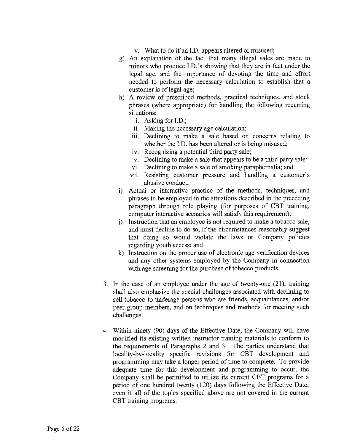- v. What to do if an ID. appears altered or misused;
- g) An explanation of the fact that many illegal sales are made to minors who produce I.D.'s showing that they are in fact under the legal age, and the importance of devoting the time and effort needed to perform the necessary calculation to establish that a customer is of legal age;
- h) A review of prescribed methods, practical techniques, and stock phrases (where appropriate) for handling the following recurring situations:
	- i. Asking for I.D.;
	- ii. Making the necessary age calculation;
	- iii. Declining to make a sale based on concerns relating to whether the I.D. has been altered or is being misused;
	- iv. Recognizing a potential third party sale;
	- v. Declining to make a sale that appears to be a third party sale;
	- vi. Declining to make a sale of smoking paraphernalia; and
	- vii. Resisting customer pressure and handling a customer's abusive conduct;
- i) Actual or interactive practice of the methods, techniques, and phrases to be employed in the situations described in the preceding paragraph through role playing (for purposes of CBT training, computer interactive scenarios will satisfy this requirement);
- j) Instruction that an employee is not required to make a tobacco sale, and must decline to do so, if the circumstances reasonably suggest that doing so would violate the laws or Company policies regarding youth access; and
- k) Instruction on the proper use of electronic age verification devices and any other systems employed by the Company in connection with age screening for the purchase of tobacco products.
- In the case of an employee under the age of twenty-one (21), training shall also emphasize the special challenges associated with declining to sell tobacco to underage persons who are friends, acquaintances, and/or peer group members, and on techniques and methods for meeting such challenges.
- Within ninety (90) days of the Effective Date, the Company will have modified its existing written instructor training materials to conform to the requirements of Paragraphs 2 and 3. The parties understand that locality-by-locality specific revisions for CBT development and programming may take a longer period of time to complete. To provide adequate time for this development and programming to occur, the Company shall be permitted to utilize its current CBT programs for a period of one hundred twenty (120) days following the Effective Date, even if all of the topics specified above are not covered in the current CBT training programs.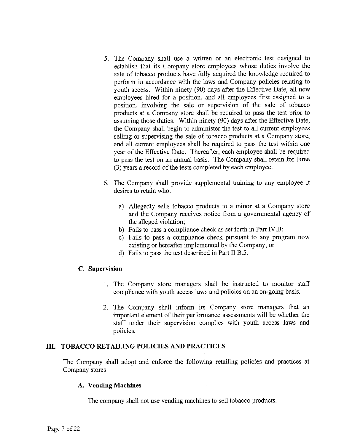- 5. The Company shall use a written or an electronic test designed to establish that its Company store employees whose duties involve the sale of tobacco products have fully acquired the knowledge required to perform in accordance with the laws and Company policies relating to youth access. Within ninety (90) days after the Effective Date, all new employees hired for a position, and all employees first assigned to a position, involving the sale or supervision of the sale of tobacco products at a Company store shall be required to pass the test prior to assuming those duties. Within ninety (90) days after the Effective Date, the Company shall begin to administer the test to all current employees selling or supervising the sale of tobacco products at a Company store, and all current employees shall be required to pass the test within one year of the Effective Date. Thereafter, each employee shall be required to pass the test on an annual basis. The Company shall retain for three (3) years a record of the tests completed by each employee.
- 6. The Company shall provide supplemental training to any employee it desires to retain who:
	- a) Allegedly sells tobacco products to a minor at a Company store and the Company receives notice from a governmental agency of the alleged violation;
	- b) Fails to pass a compliance check as set forth in Part IV.B;
	- c) Fails to pass a compliance check pursuant to any program now existing or hereafter implemented by the Company; or
	- d) Fails to pass the test described in Part II.B.5.

### C. **Supervision**

- 1. The Company store managers shall be instructed to monitor staff compliance with youth access laws and policies on an on-going basis.
- 2. The Company shall inform its Company store managers that an important element of their performance assessments will be whether the staff under their supervision complies with youth access laws and policies.

### **III. TOBACCO RETAILING POLICIES AND PRACTICES**

The Company shall adopt and enforce the following retailing policies and practices at Company stores.

### A. **Vending Machines**

The company shall not use vending machines to sell tobacco products.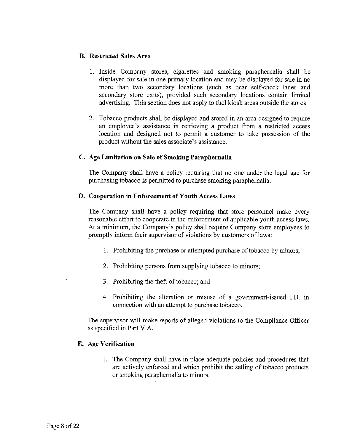## B. **Restricted** Sales **Area**

- 1. Inside Company stores, cigarettes and smoking paraphernalia shall be displayed for sale in one primary location and may be displayed for sale in no more than two secondary locations (such as near self-check lanes and secondary store exits), provided such secondary locations contain limited advertising. This section does not apply to fuel kiosk areas outside the stores.
- 2. Tobacco products shall be displayed and stored in an area designed to require an employee's assistance in retrieving a product from a restricted access location and designed not to permit a customer to take possession of the product without the sales associate's assistance.

### **C. Age Limitation on Sale of Smoking Paraphernalia**

The Company shall have a policy requiring that no one under the legal age for purchasing tobacco is permitted to purchase smoking paraphernalia.

## **D. Cooperation in Enforcement of Youth Access Laws**

The Company shall have a policy requiring that store personnel make every reasonable effort to cooperate in the enforcement of applicable youth access laws. At a minimum, the Company's policy shall require Company store employees to promptly inform their supervisor of violations by customers of laws:

- 1. Prohibiting the purchase or attempted purchase of tobacco by minors;
- 2. Prohibiting persons from supplying tobacco to minors;
- 3. Prohibiting the theft of tobacco; and
- 4. Prohibiting the alteration or misuse of a government-issued I.D. in connection with an attempt to purchase tobacco.

The supervisor will make reports of alleged violations to the Compliance Officer as specified in Part V.A.

### E. **Age Verification**

1. The Company shall have in place adequate policies and procedures that are actively enforced and which prohibit the selling of tobacco products or smoking paraphernalia to minors.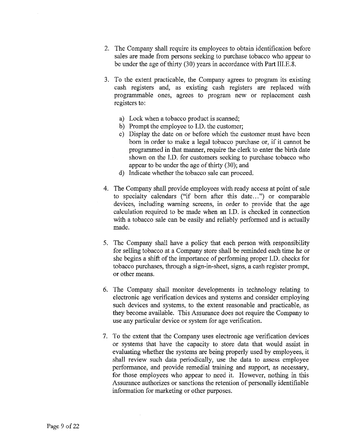- 2. The Company shall require its employees to obtain identification before sales are made from persons seeking to purchase tobacco who appear to be under the age of thirty (30) years in accordance with Part III.E.8.
- 3. To the extent practicable, the Company agrees to program its existing cash registers and, as existing cash registers are replaced with programmable ones, agrees to program new or replacement cash registers to:
	- a) Lock when a tobacco product is scanned;
	- b) Prompt the employee to I.D. the customer;
	- c) Display the date on or before which the customer must have been born in order to make a legal tobacco purchase or, if it cannot be programmed in that manner, require the clerk to enter the birth date shown on the I.D. for customers seeking to purchase tobacco who appear to be under the age of thirty (30); and
	- d) Indicate whether the tobacco sale can proceed.
- 4. The Company shall provide employees with ready access at point of sale to specialty calendars ("if born after this date...") or comparable devices, including warning screens, in order to provide that the age calculation required to be made when an I.D. is checked in connection with a tobacco sale can be easily and reliably performed and is actually made.
- 5. The Company shall have a policy that each person with responsibility for selling tobacco at a Company store shall be reminded each time he or she begins a shift of the importance of performing proper I.D. checks for tobacco purchases, through a sign-in-sheet, signs, a cash register prompt, or other means.
- 6. The Company shall monitor developments in technology relating to electronic age verification devices and systems and consider employing such devices and systems, to the extent reasonable and practicable, as they become available. This Assurance does not require the Company to use any particular device or system for age verification.
- 7. To the extent that the Company uses electronic age verification devices or systems that have the capacity to store data that would assist in evaluating whether the systems are being properly used by employees, it shall review such data periodically, use the data to assess employee performance, and provide remedial training and support, as necessary, for those employees who appear to need it. However, nothing in this Assurance authorizes or sanctions the retention of personally identifiable information for marketing or other purposes.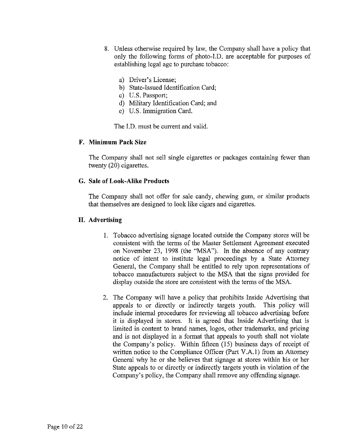- 8. Unless otherwise required by law, the Company shall have a policy that only the following forms of photo-I.D. are acceptable for purposes of establishing legal age to purchase tobacco:
	- a) Driver's License;
	- b) State-Issued Identification Card;
	- c) U.S. Passport;
	- d) Military Identification Card; and
	- e) U.S. Immigration Card.

The I.D. must be current and valid.

#### **F. Minimum Pack Size**

The Company shall not sell single cigarettes or packages containing fewer than twenty (20) cigarettes.

## **G. Sale of Look-Alike Products**

The Company shall not offer for sale candy, chewing gum, or similar products that themselves are designed to look like cigars and cigarettes.

### **H. Advertising**

- 1. Tobacco advertising signage located outside the Company stores will be consistent with the terms of the Master Settlement Agreement executed on November 23, 1998 (the "MSA"). In the absence of any contrary notice of intent to institute legal proceedings by a State Attorney General, the Company shall be entitled to rely upon representations of tobacco manufacturers subject to the MSA that the signs provided for display outside the store are consistent with the terms of the MSA.
- 2. The Company will have a policy that prohibits Inside Advertising that appeals to or directly or indirectly targets youth. This policy will include internal procedures for reviewing all tobacco advertising before it is displayed in stores. It is agreed that Inside Advertising that is limited in content to brand names, logos, other trademarks, and pricing and is not displayed in a format that appeals to youth shall not violate the Company's policy. Within fifteen (15) business days of receipt of written notice to the Compliance Officer (Part V.A.I) from an Attorney General why he or she believes that signage at stores within his or her State appeals to or directly or indirectly targets youth in violation of the Company's policy, the Company shall remove any offending signage.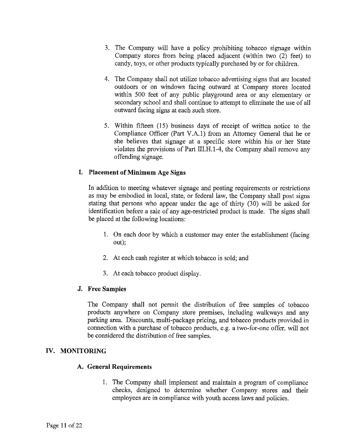- 3. The Company will have a policy prohibiting tobacco signage within Company stores from being placed adjacent (within two (2) feet) to candy, toys, or other products typically purchased by or for children.
- 4. The Company shall not utilize tobacco advertising signs that are located outdoors or on windows facing outward at Company stores located within 500 feet of any public playground area or any elementary or secondary school and shall continue to attempt to eliminate the use of all outward facing signs at each such store.
- 5. Within fifteen (15) business days of receipt of written notice to the Compliance Officer (Part V.A.I) from an Attorney General that he or she believes that signage at a specific store within his or her State violates the provisions of Part III.H.1-4, the Company shall remove any offending signage.

## **I. Placement of Minimum** Age **Signs**

In addition to meeting whatever signage and posting requirements or restrictions as may be embodied in local, state, or federal law, the Company shall post signs stating that persons who appear under the age of thirty (30) will be asked for identification before a sale of any age-restricted product is made. The signs shall be placed at the following locations:

- 1. On each door by which a customer may enter the establishment (facing out);
- 2. At each cash register at which tobacco is sold; and
- 3. At each tobacco product display.

### **J. Free Samples**

The Company shall not permit the distribution of free samples of tobacco products anywhere on Company store premises, including walkways and any parking area. Discounts, multi-package pricing, and tobacco products provided in connection with a purchase of tobacco products, e.g. a two-for-one offer, will not be considered the distribution of free samples.

### **IV. MONITORING**

### **A. General Requirements**

1. The Company shall implement and maintain a program of compliance checks, designed to determine whether Company stores and their employees are in compliance with youth access laws and policies.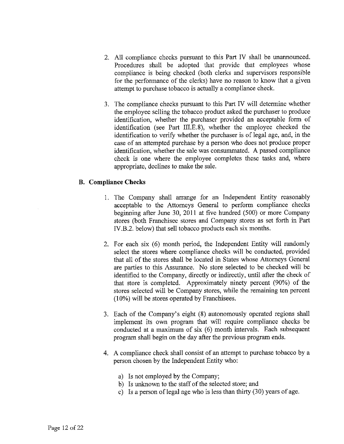- All compliance checks pursuant to this Part IV shall be unannounced. Procedures shall be adopted that provide that employees whose compliance is being checked (both clerks and supervisors responsible for the performance of the clerks) have no reason to know that a given attempt to purchase tobacco is actually a compliance check.
- The compliance checks pursuant to this Part IV will determine whether the employee selling the tobacco product asked the purchaser to produce identification, whether the purchaser provided an acceptable form of identification (see Part III.E.8), whether the employee checked the identification to verify whether the purchaser is of legal age, and, in the case of an attempted purchase by a person who does not produce proper identification, whether the sale was consummated. A passed compliance check is one where the employee completes these tasks and, where appropriate, declines to make the sale.

## **B. Compliance Checks**

- 1. The Company shall arrange for an Independent Entity reasonably acceptable to the Attorneys General to perform compliance checks beginning after June 30, 2011 at five hundred (500) or more Company stores (both Franchisee stores and Company stores as set forth in Part IV.B.2. below) that sell tobacco products each six months.
- 2. For each six (6) month period, the Independent Entity will randomly select the stores where compliance checks will be conducted, provided that all of the stores shall be located in States whose Attorneys General are parties to this Assurance. No store selected to be checked will be identified to the Company, directly or indirectly, until after the check of that store is completed. Approximately ninety percent (90%) of the stores selected will be Company stores, while the remaining ten percent (10%) will be stores operated by Franchisees.
- 3. Each of the Company's eight (8) autonomously operated regions shall implement its own program that will require compliance checks be conducted at a maximum of six (6) month intervals. Each subsequent program shall begin on the day after the previous program ends.
- 4. A compliance check shall consist of an attempt to purchase tobacco by a person chosen by the Independent Entity who:
	- a) Is not employed by the Company;
	- b) Is unknown to the staff of the selected store; and
	- c) Is a person of legal age who is less than thirty (30) years of age.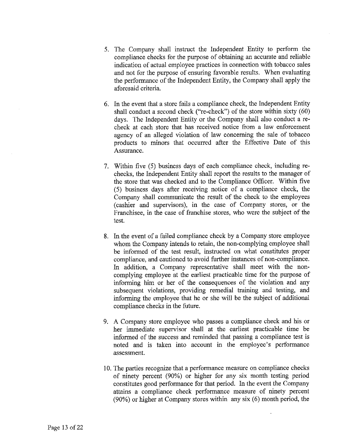- 5. The Company shall instruct the Independent Entity to perform the compliance checks for the purpose of obtaining an accurate and reliable indication of actual employee practices in connection with tobacco sales and not for the purpose of ensuring favorable results. When evaluating the performance of the Independent Entity, the Company shall apply the aforesaid criteria.
- 6. In the event that a store fails a compliance check, the Independent Entity shall conduct a second check ("re-check") of the store within sixty (60) days. The Independent Entity or the Company shall also conduct a recheck at each store that has received notice from a law enforcement agency of an alleged violation of law concerning the sale of tobacco products to minors that occurred after the Effective Date of this Assurance.
- 7. Within five (5) business days of each compliance check, including rechecks, the Independent Entity shall report the results to the manager of the store that was checked and to the Compliance Officer. Within five (5) business days after receiving notice of a compliance check, the Company shall communicate the result of the check to the employees (cashier and supervisors), in the case of Company stores, or the Franchisee, in the case of franchise stores, who were the subject of the test.
- 8. In the event of a failed compliance check by a Company store employee whom the Company intends to retain, the non-complying employee shall be informed of the test result, instructed on what constitutes proper compliance, and cautioned to avoid further instances of non-compliance. In addition, a Company representative shall meet with the noncomplying employee at the earliest practicable time for the purpose of informing him or her of the consequences of the violation and any subsequent violations, providing remedial training and testing, and informing the employee that he or she will be the subject of additional compliance checks in the future.
- 9. A Company store employee who passes a compliance check and his or her immediate supervisor shall at the earliest practicable time be informed of the success and reminded that passing a compliance test is noted and is taken into account in the employee's performance assessment.
- 10. The parties recognize that a performance measure on compliance checks of ninety percent (90%) or higher for any six month testing period constitutes good performance for that period. In the event the Company attains a compliance check performance measure of ninety percent (90%) or higher at Company stores within any six (6) month period, the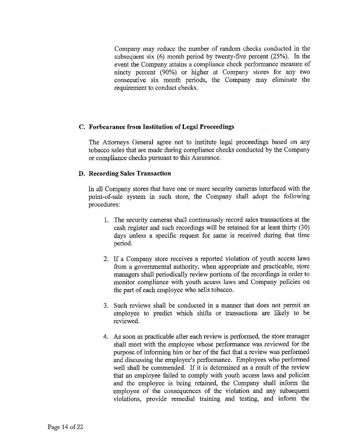Company may reduce the number of random checks conducted in the subsequent six (6) month period by twenty-five percent (25%). In the event the Company attains a compliance check performance measure of ninety percent (90%) or higher at Company stores for any two consecutive six month periods, the Company may eliminate the requirement to conduct checks.

## **C. Forbearance from Institution of Legal Proceedings**

The Attorneys General agree not to institute legal proceedings based on any tobacco sales that are made during compliance checks conducted by the Company or compliance checks pursuant to this Assurance.

## **D. Recording Sales Transaction**

In all Company stores that have one or more security cameras interfaced with the point-of-sale system in such store, the Company shall adopt the following procedures:

- 1. The security cameras shall continuously record sales transactions at the cash register and such recordings will be retained for at least thirty (30) days unless a specific request for same is received during that time period.
- 2. If a Company store receives a reported violation of youth access laws from a governmental authority, when appropriate and practicable, store managers shall periodically review portions of the recordings in order to monitor compliance with youth access laws and Company policies on the part of each employee who sells tobacco.
- 3. Such reviews shall be conducted in a manner that does not permit an employee to predict which shifts or transactions are likely to be reviewed.
- 4. As soon as practicable after each review is performed, the store manager shall meet with the employee whose performance was reviewed for the purpose of informing him or her of the fact that a review was performed and discussing the employee's performance. Employees who performed well shall be commended. If it is determined as a result of the review that an employee failed to comply with youth access laws and policies and the employee is being retained, the Company shall inform the employee of the consequences of the violation and any subsequent violations, provide remedial training and testing, and inform the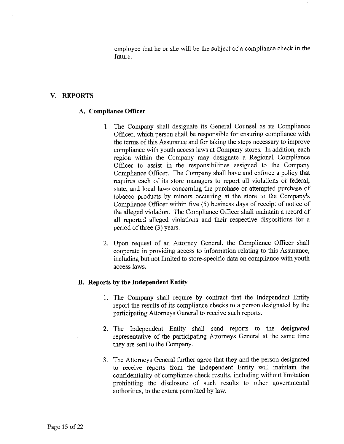employee that he or she will be the subject of a compliance check in the future.

### **V. REPORTS**

### **A. Compliance Officer**

- 1. The Company shall designate its General Counsel as its Compliance Officer, which person shall be responsible for ensuring compliance with the terms of this Assurance and for taking the steps necessary to improve compliance with youth access laws at Company stores. In addition, each region within the Company may designate a Regional Compliance Officer to assist in the responsibilities assigned to the Company Compliance Officer. The Company shall have and enforce a policy that requires each of its store managers to report all violations of federal, state, and local laws concerning the purchase or attempted purchase of tobacco products by minors occurring at the store to the Company's Compliance Officer within five (5) business days of receipt of notice of the alleged violation. The Compliance Officer shall maintain a record of all reported alleged violations and their respective dispositions for a period of three (3) years.
- 2. Upon request of an Attorney General, the Compliance Officer shall cooperate in providing access to information relating to this Assurance, including but not limited to store-specific data on compliance with youth access laws.

### **B. Reports by the Independent Entity**

- 1. The Company shall require by contract that the Independent Entity report the results of its compliance checks to a person designated by the participating Attorneys General to receive such reports.
- 2. The Independent Entity shall send reports to the designated representative of the participating Attorneys General at the same time they are sent to the Company.
- 3. The Attorneys General further agree that they and the person designated to receive reports from the Independent Entity will maintain the confidentiality of compliance check results, including without limitation prohibiting the disclosure of such results to other governmental authorities, to the extent permitted by law.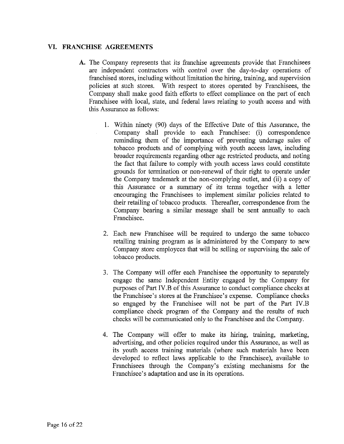# VI. FRANCHISE AGREEMENTS

- A. The Company represents that its franchise agreements provide that Franchisees are independent contractors with control over the day-to-day operations of franchised stores, including without limitation the hiring, training, and supervision policies at such stores. With respect to stores operated by Franchisees, the Company shall make good faith efforts to effect compliance on the part of each Franchisee with local, state, and federal laws relating to youth access and with this Assurance as follows:
	- 1. Within ninety (90) days of the Effective Date of this Assurance, the Company shall provide to each Franchisee: (i) correspondence reminding them of the importance of preventing underage sales of tobacco products and of complying with youth access laws, including broader requirements regarding other age restricted products, and noting the fact that failure to comply with youth access laws could constitute grounds for termination or non-renewal of their right to operate under the Company trademark at the non-complying outlet, and (ii) a copy of this Assurance or a summary of its terms together with a letter encouraging the Franchisees to implement similar policies related to their retailing of tobacco products. Thereafter, correspondence from the Company bearing a similar message shall be sent annually to each Franchisee.
	- 2. Each new Franchisee will be required to undergo the same tobacco retailing training program as is administered by the Company to new Company store employees that will be selling or supervising the sale of tobacco products.
	- 3. The Company will offer each Franchisee the opportunity to separately engage the same Independent Entity engaged by the Company for purposes of Part IV.B of this Assurance to conduct compliance checks at the Franchisee's stores at the Franchisee's expense. Compliance checks so engaged by the Franchisee will not be part of the Part IV.B compliance check program of the Company and the results of such checks will be communicated only to the Franchisee and the Company.
	- 4. The Company will offer to make its hiring, training, marketing, advertising, and other policies required under this Assurance, as well as its youth access training materials (where such materials have been developed to reflect laws applicable to the Franchisee), available to Franchisees through the Company's existing mechanisms for the Franchisee's adaptation and use in its operations.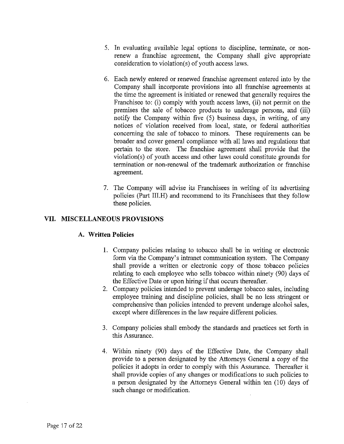- 5. In evaluating available legal options to discipline, terminate, or nonrenew a franchise agreement, the Company shall give appropriate consideration to violation(s) of youth access laws.
- 6. Each newly entered or renewed franchise agreement entered into by the Company shall incorporate provisions into all franchise agreements at the time the agreement is initiated or renewed that generally requires the Franchisee to: (i) comply with youth access laws, (ii) not permit on the premises the sale of tobacco products to underage persons, and (iii) notify the Company within five (5) business days, in writing, of any notices of violation received from local, state, or federal authorities concerning the sale of tobacco to minors. These requirements can be broader and cover general compliance with all laws and regulations that pertain to the store. The franchise agreement shall provide that the violation(s) of youth access and other laws could constitute grounds for termination or non-renewal of the trademark authorization or franchise agreement.
- 7. The Company will advise its Franchisees in writing of its advertising policies (Part III.H) and recommend to its Franchisees that they follow these policies.

## **VII. MISCELLANEOUS PROVISIONS**

### **A. Written Policies**

- 1. Company policies relating to tobacco shall be in writing or electronic form via the Company's intranet communication system. The Company shall provide a written or electronic copy of those tobacco policies relating to each employee who sells tobacco within ninety (90) days of the Effective Date or upon hiring if that occurs thereafter.
- 2. Company policies intended to prevent underage tobacco sales, including employee training and discipline policies, shall be no less stringent or comprehensive than policies intended to prevent underage alcohol sales, except where differences in the law require different policies.
- 3. Company policies shall embody the standards and practices set forth in this Assurance.
- 4. Within ninety (90) days of the Effective Date, the Company shall provide to a person designated by the Attorneys General a copy of the policies it adopts in order to comply with this Assurance. Thereafter it shall provide copies of any changes or modifications to such policies to a person designated by the Attorneys General within ten (10) days of such change or modification.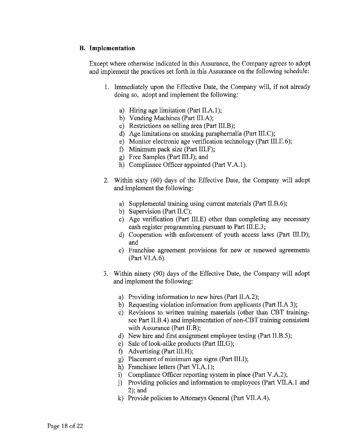### B. Implementation

Except where otherwise indicated in this Assurance, the Company agrees to adopt and implement the practices set forth in this Assurance on the following schedule:

- 1. Immediately upon the Effective Date, the Company will, if not already doing so, adopt and implement the following:
	- a) Hiring age limitation (Part II.A.l);
	- b) Vending Machines (Part III.A);
	- c) Restrictions on selling area (Part III.B);
	- d) Age limitations on smoking paraphernalia (Part III.C);
	- e) Monitor electronic age verification technology (Part III.E.6);
	- f) Minimum pack size (Part III.F);
	- g) Free Samples (Part III.J); and
	- h) Compliance Officer appointed (Part V.A.I).
- 2. Within sixty (60) days of the Effective Date, the Company will adopt and implement the following:
	- a) Supplemental training using current materials (Part II.B.6);
	- b) Supervision (Part II.C);
	- c) Age verification (Part III.E) other than completing any necessary cash register programming pursuant to Part III.E.3;
	- d) Cooperation with enforcement of youth access laws (Part III.D); and
	- e) Franchise agreement provisions for new or renewed agreements (Part VI.A.6).
- 3. Within ninety (90) days of the Effective Date, the Company will adopt and implement the following:
	- a) Providing information to new hires (Part II.A.2);
	- b) Requesting violation information from applicants (Part II.A 3);
	- c) Revisions to written training materials (other than CBT trainingsee Part II.B.4) and implementation of non-CBT training consistent with Assurance (Part II.B);
	- d) New hire and first assignment employee testing (Part II.B.5);
	- e) Sale of look-alike products (Part III.G);
	- f) Advertising (Part III.H);
	- g) Placement of minimum age signs (Part III.I);
	- h) Franchisee letters (Part VI.A.l);
	- i) Compliance Officer reporting system in place (Part V.A.2);
	- j) Providing policies and information to employees (Part VII.A.l and 2); and
	- k) Provide policies to Attorneys General (Part VII.A.4).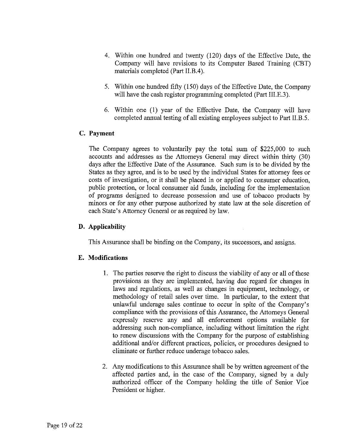- 4. Within one hundred and twenty (120) days of the Effective Date, the Company will have revisions to its Computer Based Training (CBT) materials completed (Part II.B.4).
- 5. Within one hundred fifty (150) days of the Effective Date, the Company will have the cash register programming completed (Part III.E.3).
- 6. Within one (1) year of the Effective Date, the Company will have completed annual testing of all existing employees subject to Part II.B.5.

# **C. Payment**

The Company agrees to voluntarily pay the total sum of \$225,000 to such accounts and addresses as the Attorneys General may direct within thirty (30) days after the Effective Date of the Assurance. Such sum is to be divided by the States as they agree, and is to be used by the individual States for attorney fees or costs of investigation, or it shall be placed in or applied to consumer education, public protection, or local consumer aid funds, including for the implementation of programs designed to decrease possession and use of tobacco products by minors or for any other purpose authorized by state law at the sole discretion of each State's Attorney General or as required by law.

# **D. Applicability**

This Assurance shall be binding on the Company, its successors, and assigns.

# E. **Modifications**

- 1. The parties reserve the right to discuss the viability of any or all of these provisions as they are implemented, having due regard for changes in laws and regulations, as well as changes in equipment, technology, or methodology of retail sales over time. In particular, to the extent that unlawful underage sales continue to occur in spite of the Company's compliance with the provisions of this Assurance, the Attorneys General expressly reserve any and all enforcement options available for addressing such non-compliance, including without limitation the right to renew discussions with the Company for the purpose of establishing additional and/or different practices, policies, or procedures designed to eliminate or further reduce underage tobacco sales.
- 2. Any modifications to this Assurance shall be by written agreement of the affected parties and, in the case of the Company, signed by a duly authorized officer of the Company holding the title of Senior Vice President or higher.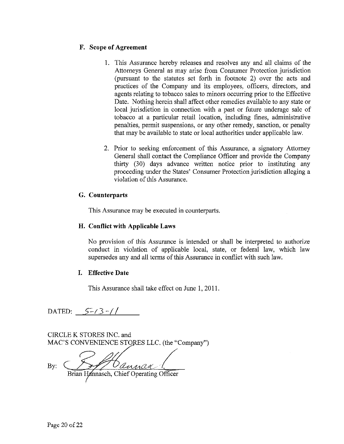### F. **Scope of Agreement**

- 1. This Assurance hereby releases and resolves any and all claims of the Attorneys General as may arise from Consumer Protection jurisdiction (pursuant to the statutes set forth in footnote 2) over the acts and practices of the Company and its employees, officers, directors, and agents relating to tobacco sales to minors occurring prior to the Effective Date. Nothing herein shall affect other remedies available to any state or local jurisdiction in connection with a past or future underage sale of tobacco at a particular retail location, including fines, administrative penalties, permit suspensions, or any other remedy, sanction, or penalty that may be available to state or local authorities under applicable law.
- 2. Prior to seeking enforcement of this Assurance, a signatory Attorney General shall contact the Compliance Officer and provide the Company thirty (30) days advance written notice prior to instituting any proceeding under the States' Consumer Protection jurisdiction alleging a violation of this Assurance.

## **G. Counterparts**

This Assurance may be executed in counterparts.

### **H. Conflict with Applicable Laws**

No provision of this Assurance is intended or shall be interpreted to authorize conduct in violation of applicable local, state, or federal law, which law supersedes any and all terms of this Assurance in conflict with such law.

### **I. Effective Date**

This Assurance shall take effect on June 1, 2011.

DATED:  $5-(3-7)$ 

CIRCLE K STORES INC. and MAC'S CONVENIENCE STORES LLC. (the "Company")

**B y : C** *^y/Y<sup>D</sup> <z^AcuL L\_* Brian Hannasch, Chief Operating Officer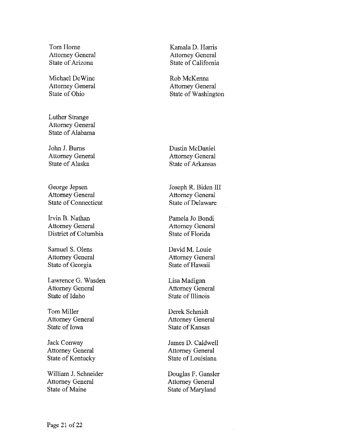Tom Home Attorney General State of Arizona

Michael DeWine Attorney General State of Ohio

Luther Strange Attorney General State of Alabama

John J. Burns Attorney General State of Alaska

George Jepsen Attorney General State of Connecticut

Irvin B. Nathan Attorney General District of Columbia

Samuel S. Olens Attorney General State of Georgia

Lawrence G. Wasden Attorney General State of Idaho

Tom Miller Attorney General State of Iowa

Jack Conway Attorney General State of Kentucky

William J. Schneider Attorney General State of Maine

Kamala D. Harris Attorney General State of California

Rob McKenna Attorney General State of Washington

Dustin McDaniel Attorney General State of Arkansas

Joseph R. Biden III Attorney General State of Delaware

Pamela Jo Bondi Attorney General State of Florida

David M. Louie Attorney General State of Hawaii

Lisa Madigan Attorney General State of Illinois

Derek Schmidt Attorney General State of Kansas

James D. Caldwell Attorney General State of Louisiana

Douglas F. Gansler Attorney General State of Maryland